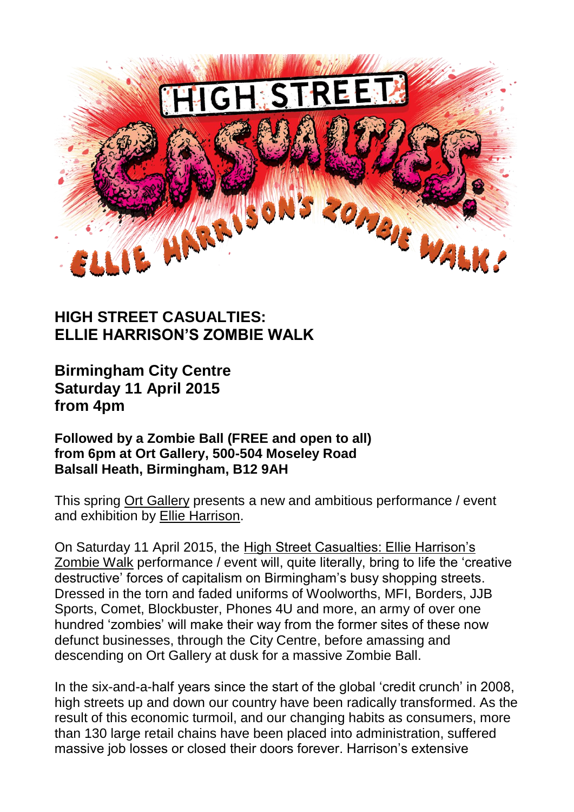

## **HIGH STREET CASUALTIES: ELLIE HARRISON'S ZOMBIE WALK**

**Birmingham City Centre Saturday 11 April 2015 from 4pm**

**Followed by a Zombie Ball (FREE and open to all) from 6pm at Ort Gallery, 500-504 Moseley Road Balsall Heath, Birmingham, B12 9AH**

This spring [Ort Gallery](http://ortgallery.co.uk/) presents a new and ambitious performance / event and exhibition by [Ellie Harrison.](http://www.ellieharrison.com/)

On Saturday 11 April 2015, the [High Street Casualties: Ellie Harrison's](http://www.ellieharrison.com/highstreetcasualties/)  [Zombie Walk](http://www.ellieharrison.com/highstreetcasualties/) performance / event will, quite literally, bring to life the 'creative destructive' forces of capitalism on Birmingham's busy shopping streets. Dressed in the torn and faded uniforms of Woolworths, MFI, Borders, JJB Sports, Comet, Blockbuster, Phones 4U and more, an army of over one hundred 'zombies' will make their way from the former sites of these now defunct businesses, through the City Centre, before amassing and descending on Ort Gallery at dusk for a massive Zombie Ball.

In the six-and-a-half years since the start of the global 'credit crunch' in 2008, high streets up and down our country have been radically transformed. As the result of this economic turmoil, and our changing habits as consumers, more than 130 large retail chains have been placed into administration, suffered massive job losses or closed their doors forever. Harrison's extensive